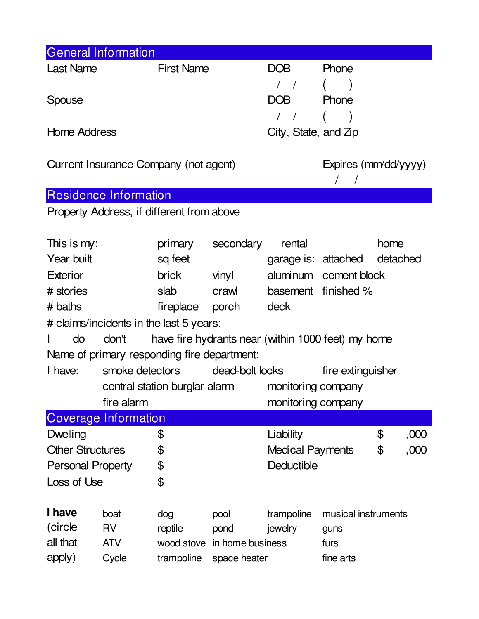| <b>General Information</b>                                        |                                                  |                                 |                      |                                               |                                 |      |      |
|-------------------------------------------------------------------|--------------------------------------------------|---------------------------------|----------------------|-----------------------------------------------|---------------------------------|------|------|
| <b>Last Name</b>                                                  |                                                  | <b>First Name</b>               |                      | DOB                                           | Phone                           |      |      |
|                                                                   |                                                  |                                 |                      | $\left  \begin{array}{c} \end{array} \right $ |                                 |      |      |
| Spouse                                                            |                                                  |                                 |                      | DOB                                           | Phone                           |      |      |
|                                                                   |                                                  |                                 |                      | $\frac{1}{2}$                                 |                                 |      |      |
| <b>Home Address</b>                                               |                                                  |                                 |                      | City, State, and $Zp$                         |                                 |      |      |
|                                                                   |                                                  |                                 |                      |                                               |                                 |      |      |
| Current Insurance Company (not agent)                             |                                                  |                                 |                      |                                               | Expires (mm/dd/yyyy)            |      |      |
|                                                                   |                                                  |                                 |                      |                                               | $\bigg)$<br>$\sqrt{2}$          |      |      |
| <b>Residence Information</b>                                      |                                                  |                                 |                      |                                               |                                 |      |      |
| Property Address, if different from above                         |                                                  |                                 |                      |                                               |                                 |      |      |
|                                                                   |                                                  |                                 |                      |                                               |                                 |      |      |
| This is my:                                                       |                                                  | primary                         | secondary            | rental                                        |                                 | home |      |
| Year built                                                        |                                                  | sq feet                         |                      |                                               | detached<br>garage is: attached |      |      |
| <b>Exterior</b>                                                   |                                                  | brick                           | vinyl                |                                               | aluminum cement block           |      |      |
| # stories                                                         |                                                  | slab                            | craw                 |                                               | basement finished %             |      |      |
| # baths                                                           |                                                  |                                 | fireplace porch deck |                                               |                                 |      |      |
| # claims/incidents in the last 5 years:                           |                                                  |                                 |                      |                                               |                                 |      |      |
| have fire hydrants near (within 1000 feet) my home<br>do<br>don't |                                                  |                                 |                      |                                               |                                 |      |      |
| Name of primary responding fire department:                       |                                                  |                                 |                      |                                               |                                 |      |      |
| I have:                                                           |                                                  | smoke detectors dead-bolt locks |                      |                                               | fire extinguisher               |      |      |
|                                                                   | central station burglar alarm monitoring company |                                 |                      |                                               |                                 |      |      |
|                                                                   | fire alarm                                       |                                 |                      | monitoring company                            |                                 |      |      |
| <b>Coverage Information</b>                                       |                                                  |                                 |                      |                                               |                                 |      |      |
| Dwelling                                                          |                                                  | \$                              |                      | Liability                                     |                                 | \$   | ,000 |
| <b>Other Structures</b>                                           |                                                  | \$                              |                      |                                               | <b>Medical Payments</b>         | \$   | ,000 |
| <b>Personal Property</b>                                          |                                                  | \$                              |                      | Deductible                                    |                                 |      |      |
| Loss of Use                                                       |                                                  | \$                              |                      |                                               |                                 |      |      |
|                                                                   |                                                  |                                 |                      |                                               |                                 |      |      |
| I have                                                            | boat                                             | dog                             | pool                 | trampoline                                    | musical instruments             |      |      |
| (circle)                                                          | <b>RV</b>                                        | reptile                         | pond                 | jewelry                                       | guns                            |      |      |
| all that                                                          | <b>ATV</b>                                       | wood stove                      | in home business     |                                               | furs                            |      |      |
| apply)                                                            | Cycle                                            | trampoline<br>space heater      |                      |                                               | fine arts                       |      |      |